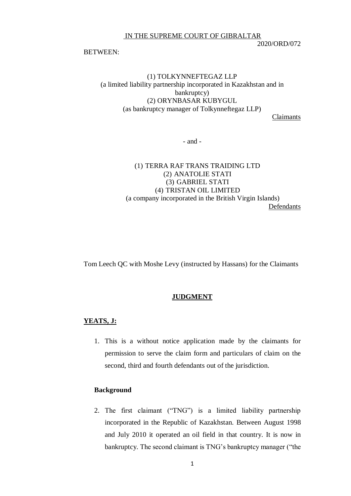IN THE SUPREME COURT OF GIBRALTAR

#### 2020/ORD/072

#### BETWEEN:

# (1) TOLKYNNEFTEGAZ LLP (a limited liability partnership incorporated in Kazakhstan and in bankruptcy) (2) ORYNBASAR KUBYGUL (as bankruptcy manager of Tolkynneftegaz LLP)

Claimants

- and -

# (1) TERRA RAF TRANS TRAIDING LTD (2) ANATOLIE STATI (3) GABRIEL STATI (4) TRISTAN OIL LIMITED (a company incorporated in the British Virgin Islands) Defendants

Tom Leech QC with Moshe Levy (instructed by Hassans) for the Claimants

#### **JUDGMENT**

## **YEATS, J:**

1. This is a without notice application made by the claimants for permission to serve the claim form and particulars of claim on the second, third and fourth defendants out of the jurisdiction.

# **Background**

2. The first claimant ("TNG") is a limited liability partnership incorporated in the Republic of Kazakhstan. Between August 1998 and July 2010 it operated an oil field in that country. It is now in bankruptcy. The second claimant is TNG's bankruptcy manager ("the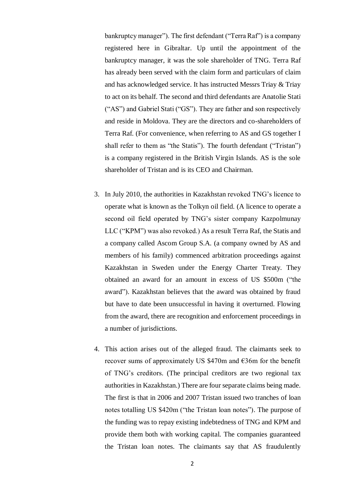bankruptcy manager"). The first defendant ("Terra Raf") is a company registered here in Gibraltar. Up until the appointment of the bankruptcy manager, it was the sole shareholder of TNG. Terra Raf has already been served with the claim form and particulars of claim and has acknowledged service. It has instructed Messrs Triay & Triay to act on its behalf. The second and third defendants are Anatolie Stati ("AS") and Gabriel Stati ("GS"). They are father and son respectively and reside in Moldova. They are the directors and co-shareholders of Terra Raf. (For convenience, when referring to AS and GS together I shall refer to them as "the Statis"). The fourth defendant ("Tristan") is a company registered in the British Virgin Islands. AS is the sole shareholder of Tristan and is its CEO and Chairman.

- 3. In July 2010, the authorities in Kazakhstan revoked TNG's licence to operate what is known as the Tolkyn oil field. (A licence to operate a second oil field operated by TNG's sister company Kazpolmunay LLC ("KPM") was also revoked.) As a result Terra Raf, the Statis and a company called Ascom Group S.A. (a company owned by AS and members of his family) commenced arbitration proceedings against Kazakhstan in Sweden under the Energy Charter Treaty. They obtained an award for an amount in excess of US \$500m ("the award"). Kazakhstan believes that the award was obtained by fraud but have to date been unsuccessful in having it overturned. Flowing from the award, there are recognition and enforcement proceedings in a number of jurisdictions.
- 4. This action arises out of the alleged fraud. The claimants seek to recover sums of approximately US \$470m and €36m for the benefit of TNG's creditors. (The principal creditors are two regional tax authorities in Kazakhstan.) There are four separate claims being made. The first is that in 2006 and 2007 Tristan issued two tranches of loan notes totalling US \$420m ("the Tristan loan notes"). The purpose of the funding was to repay existing indebtedness of TNG and KPM and provide them both with working capital. The companies guaranteed the Tristan loan notes. The claimants say that AS fraudulently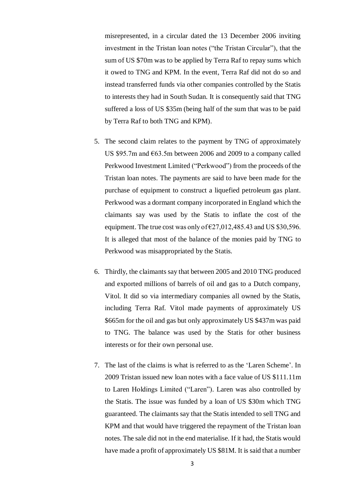misrepresented, in a circular dated the 13 December 2006 inviting investment in the Tristan loan notes ("the Tristan Circular"), that the sum of US \$70m was to be applied by Terra Raf to repay sums which it owed to TNG and KPM. In the event, Terra Raf did not do so and instead transferred funds via other companies controlled by the Statis to interests they had in South Sudan. It is consequently said that TNG suffered a loss of US \$35m (being half of the sum that was to be paid by Terra Raf to both TNG and KPM).

- 5. The second claim relates to the payment by TNG of approximately US \$95.7m and €63.5m between 2006 and 2009 to a company called Perkwood Investment Limited ("Perkwood") from the proceeds of the Tristan loan notes. The payments are said to have been made for the purchase of equipment to construct a liquefied petroleum gas plant. Perkwood was a dormant company incorporated in England which the claimants say was used by the Statis to inflate the cost of the equipment. The true cost was only of  $\epsilon$ 27,012,485.43 and US \$30,596. It is alleged that most of the balance of the monies paid by TNG to Perkwood was misappropriated by the Statis.
- 6. Thirdly, the claimants say that between 2005 and 2010 TNG produced and exported millions of barrels of oil and gas to a Dutch company, Vitol. It did so via intermediary companies all owned by the Statis, including Terra Raf. Vitol made payments of approximately US \$665m for the oil and gas but only approximately US \$437m was paid to TNG. The balance was used by the Statis for other business interests or for their own personal use.
- 7. The last of the claims is what is referred to as the 'Laren Scheme'. In 2009 Tristan issued new loan notes with a face value of US \$111.11m to Laren Holdings Limited ("Laren"). Laren was also controlled by the Statis. The issue was funded by a loan of US \$30m which TNG guaranteed. The claimants say that the Statis intended to sell TNG and KPM and that would have triggered the repayment of the Tristan loan notes. The sale did not in the end materialise. If it had, the Statis would have made a profit of approximately US \$81M. It is said that a number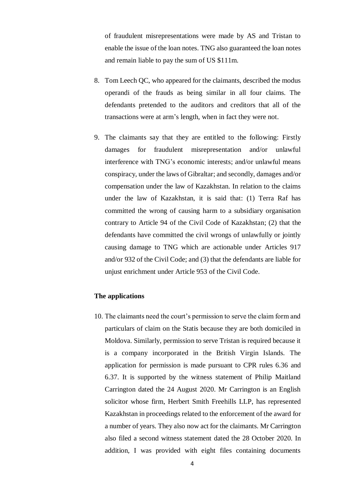of fraudulent misrepresentations were made by AS and Tristan to enable the issue of the loan notes. TNG also guaranteed the loan notes and remain liable to pay the sum of US \$111m.

- 8. Tom Leech QC, who appeared for the claimants, described the modus operandi of the frauds as being similar in all four claims. The defendants pretended to the auditors and creditors that all of the transactions were at arm's length, when in fact they were not.
- 9. The claimants say that they are entitled to the following: Firstly damages for fraudulent misrepresentation and/or unlawful interference with TNG's economic interests; and/or unlawful means conspiracy, under the laws of Gibraltar; and secondly, damages and/or compensation under the law of Kazakhstan. In relation to the claims under the law of Kazakhstan, it is said that: (1) Terra Raf has committed the wrong of causing harm to a subsidiary organisation contrary to Article 94 of the Civil Code of Kazakhstan; (2) that the defendants have committed the civil wrongs of unlawfully or jointly causing damage to TNG which are actionable under Articles 917 and/or 932 of the Civil Code; and (3) that the defendants are liable for unjust enrichment under Article 953 of the Civil Code.

#### **The applications**

10. The claimants need the court's permission to serve the claim form and particulars of claim on the Statis because they are both domiciled in Moldova. Similarly, permission to serve Tristan is required because it is a company incorporated in the British Virgin Islands. The application for permission is made pursuant to CPR rules 6.36 and 6.37. It is supported by the witness statement of Philip Maitland Carrington dated the 24 August 2020. Mr Carrington is an English solicitor whose firm, Herbert Smith Freehills LLP, has represented Kazakhstan in proceedings related to the enforcement of the award for a number of years. They also now act for the claimants. Mr Carrington also filed a second witness statement dated the 28 October 2020. In addition, I was provided with eight files containing documents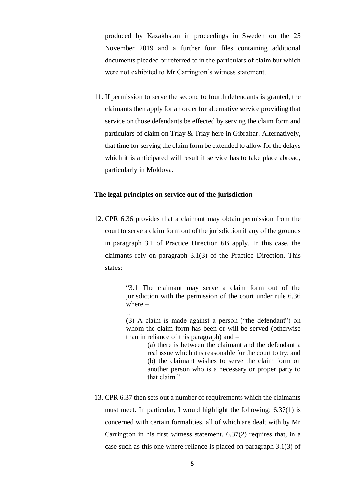produced by Kazakhstan in proceedings in Sweden on the 25 November 2019 and a further four files containing additional documents pleaded or referred to in the particulars of claim but which were not exhibited to Mr Carrington's witness statement.

11. If permission to serve the second to fourth defendants is granted, the claimants then apply for an order for alternative service providing that service on those defendants be effected by serving the claim form and particulars of claim on Triay & Triay here in Gibraltar. Alternatively, that time for serving the claim form be extended to allow for the delays which it is anticipated will result if service has to take place abroad, particularly in Moldova.

### **The legal principles on service out of the jurisdiction**

….

12. CPR 6.36 provides that a claimant may obtain permission from the court to serve a claim form out of the jurisdiction if any of the grounds in paragraph 3.1 of Practice Direction 6B apply. In this case, the claimants rely on paragraph 3.1(3) of the Practice Direction. This states:

> "3.1 The claimant may serve a claim form out of the jurisdiction with the permission of the court under rule 6.36 where –

> (3) A claim is made against a person ("the defendant") on whom the claim form has been or will be served (otherwise than in reliance of this paragraph) and –

> > (a) there is between the claimant and the defendant a real issue which it is reasonable for the court to try; and (b) the claimant wishes to serve the claim form on another person who is a necessary or proper party to that claim."

13. CPR 6.37 then sets out a number of requirements which the claimants must meet. In particular, I would highlight the following: 6.37(1) is concerned with certain formalities, all of which are dealt with by Mr Carrington in his first witness statement. 6.37(2) requires that, in a case such as this one where reliance is placed on paragraph 3.1(3) of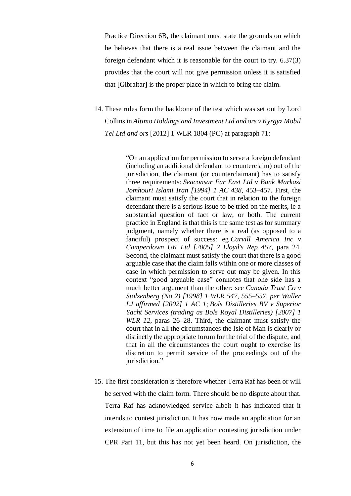Practice Direction 6B, the claimant must state the grounds on which he believes that there is a real issue between the claimant and the foreign defendant which it is reasonable for the court to try. 6.37(3) provides that the court will not give permission unless it is satisfied that [Gibraltar] is the proper place in which to bring the claim.

14. These rules form the backbone of the test which was set out by Lord Collins in *Altimo Holdings and Investment Ltd and ors v Kyrgyz Mobil Tel Ltd and ors* [2012] 1 WLR 1804 (PC) at paragraph 71:

> "On an application for permission to serve a foreign defendant (including an additional defendant to counterclaim) out of the jurisdiction, the claimant (or counterclaimant) has to satisfy three requirements: *Seaconsar Far East Ltd v Bank Markazi Jomhouri Islami Iran [1994] 1 AC 438*, 453–457. First, the claimant must satisfy the court that in relation to the foreign defendant there is a serious issue to be tried on the merits, ie a substantial question of fact or law, or both. The current practice in England is that this is the same test as for summary judgment, namely whether there is a real (as opposed to a fanciful) prospect of success: eg *Carvill America Inc v Camperdown UK Ltd [2005] 2 Lloyd's Rep 457*, para 24. Second, the claimant must satisfy the court that there is a good arguable case that the claim falls within one or more classes of case in which permission to serve out may be given. In this context "good arguable case" connotes that one side has a much better argument than the other: see *Canada Trust Co v Stolzenberg (No 2) [1998] 1 WLR 547, 555–557, per Waller LJ affirmed [2002] 1 AC 1*; *Bols Distilleries BV v Superior Yacht Services (trading as Bols Royal Distilleries) [2007] 1 WLR 12*, paras 26–28. Third, the claimant must satisfy the court that in all the circumstances the Isle of Man is clearly or distinctly the appropriate forum for the trial of the dispute, and that in all the circumstances the court ought to exercise its discretion to permit service of the proceedings out of the jurisdiction."

15. The first consideration is therefore whether Terra Raf has been or will be served with the claim form. There should be no dispute about that. Terra Raf has acknowledged service albeit it has indicated that it intends to contest jurisdiction. It has now made an application for an extension of time to file an application contesting jurisdiction under CPR Part 11, but this has not yet been heard. On jurisdiction, the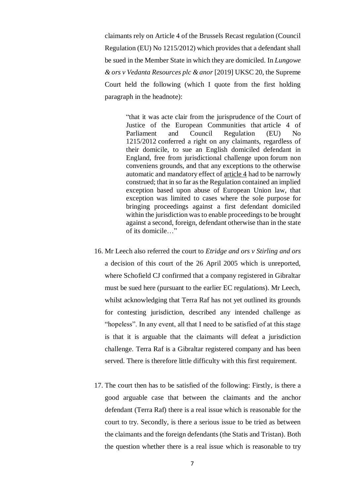claimants rely on Article 4 of the Brussels Recast regulation (Council Regulation (EU) No 1215/2012) which provides that a defendant shall be sued in the Member State in which they are domiciled. In *Lungowe & ors v Vedanta Resources plc & anor* [2019] UKSC 20, the Supreme Court held the following (which I quote from the first holding paragraph in the headnote):

> "that it was acte clair from the jurisprudence of the Court of Justice of the European Communities that article 4 of Parliament and Council Regulation (EU) No 1215/2012 conferred a right on any claimants, regardless of their domicile, to sue an English domiciled defendant in England, free from jurisdictional challenge upon forum non conveniens grounds, and that any exceptions to the otherwise automatic and mandatory effect of [article](https://uk.westlaw.com/Document/I4C38F876D11948C4AE4BDAC89836918F/View/FullText.html?originationContext=document&transitionType=DocumentItem&contextData=(sc.Search)) 4 had to be narrowly construed; that in so far as the Regulation contained an implied exception based upon abuse of European Union law, that exception was limited to cases where the sole purpose for bringing proceedings against a first defendant domiciled within the jurisdiction was to enable proceedings to be brought against a second, foreign, defendant otherwise than in the state of its domicile…"

- 16. Mr Leech also referred the court to *Etridge and ors v Stirling and ors* a decision of this court of the 26 April 2005 which is unreported, where Schofield CJ confirmed that a company registered in Gibraltar must be sued here (pursuant to the earlier EC regulations). Mr Leech, whilst acknowledging that Terra Raf has not yet outlined its grounds for contesting jurisdiction, described any intended challenge as "hopeless". In any event, all that I need to be satisfied of at this stage is that it is arguable that the claimants will defeat a jurisdiction challenge. Terra Raf is a Gibraltar registered company and has been served. There is therefore little difficulty with this first requirement.
- 17. The court then has to be satisfied of the following: Firstly, is there a good arguable case that between the claimants and the anchor defendant (Terra Raf) there is a real issue which is reasonable for the court to try. Secondly, is there a serious issue to be tried as between the claimants and the foreign defendants (the Statis and Tristan). Both the question whether there is a real issue which is reasonable to try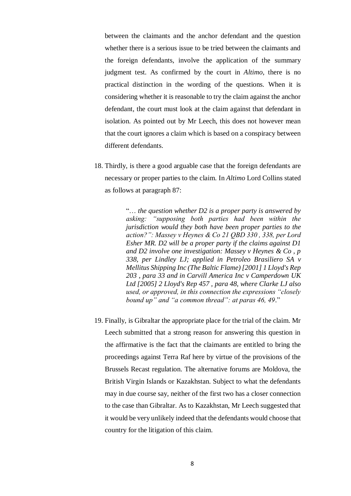between the claimants and the anchor defendant and the question whether there is a serious issue to be tried between the claimants and the foreign defendants, involve the application of the summary judgment test. As confirmed by the court in *Altimo*, there is no practical distinction in the wording of the questions. When it is considering whether it is reasonable to try the claim against the anchor defendant, the court must look at the claim against that defendant in isolation. As pointed out by Mr Leech, this does not however mean that the court ignores a claim which is based on a conspiracy between different defendants.

18. Thirdly, is there a good arguable case that the foreign defendants are necessary or proper parties to the claim. In *Altimo* Lord Collins stated as follows at paragraph 87:

> "… *the question whether D2 is a proper party is answered by asking: "supposing both parties had been within the jurisdiction would they both have been proper parties to the action?": Massey v Heynes & Co 21 QBD 330 , 338, per Lord Esher MR. D2 will be a proper party if the claims against D1 and D2 involve one investigation: Massey v Heynes & Co , p 338, per Lindley LJ; applied in Petroleo Brasiliero SA v Mellitus Shipping Inc (The Baltic Flame) [2001] 1 Lloyd's Rep 203 , para 33 and in Carvill America Inc v Camperdown UK Ltd [2005] 2 Lloyd's Rep 457 , para 48, where Clarke LJ also used, or approved, in this connection the expressions "closely bound up" and "a common thread": at paras 46, 49*."

19. Finally, is Gibraltar the appropriate place for the trial of the claim. Mr Leech submitted that a strong reason for answering this question in the affirmative is the fact that the claimants are entitled to bring the proceedings against Terra Raf here by virtue of the provisions of the Brussels Recast regulation. The alternative forums are Moldova, the British Virgin Islands or Kazakhstan. Subject to what the defendants may in due course say, neither of the first two has a closer connection to the case than Gibraltar. As to Kazakhstan, Mr Leech suggested that it would be very unlikely indeed that the defendants would choose that country for the litigation of this claim.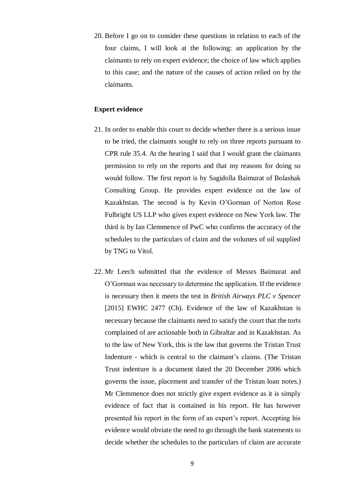20. Before I go on to consider these questions in relation to each of the four claims, I will look at the following: an application by the claimants to rely on expert evidence; the choice of law which applies to this case; and the nature of the causes of action relied on by the claimants.

#### **Expert evidence**

- 21. In order to enable this court to decide whether there is a serious issue to be tried, the claimants sought to rely on three reports pursuant to CPR rule 35.4. At the hearing I said that I would grant the claimants permission to rely on the reports and that my reasons for doing so would follow. The first report is by Sagidolla Baimurat of Bolashak Consulting Group. He provides expert evidence on the law of Kazakhstan. The second is by Kevin O'Gorman of Norton Rose Fulbright US LLP who gives expert evidence on New York law. The third is by Ian Clemmence of PwC who confirms the accuracy of the schedules to the particulars of claim and the volumes of oil supplied by TNG to Vitol.
- 22. Mr Leech submitted that the evidence of Messrs Baimurat and O'Gorman was necessary to determine the application. If the evidence is necessary then it meets the test in *British Airways PLC v Spencer* [2015] EWHC 2477 (Ch). Evidence of the law of Kazakhstan is necessary because the claimants need to satisfy the court that the torts complained of are actionable both in Gibraltar and in Kazakhstan. As to the law of New York, this is the law that governs the Tristan Trust Indenture - which is central to the claimant's claims. (The Tristan Trust indenture is a document dated the 20 December 2006 which governs the issue, placement and transfer of the Tristan loan notes.) Mr Clemmence does not strictly give expert evidence as it is simply evidence of fact that is contained in his report. He has however presented his report in the form of an expert's report. Accepting his evidence would obviate the need to go through the bank statements to decide whether the schedules to the particulars of claim are accurate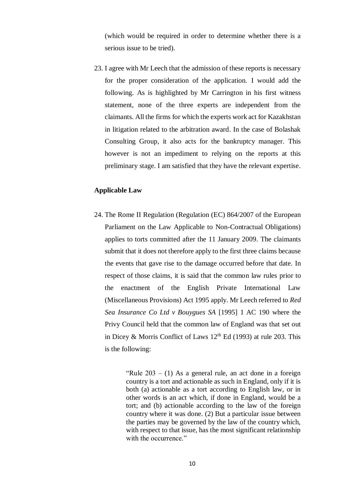(which would be required in order to determine whether there is a serious issue to be tried).

23. I agree with Mr Leech that the admission of these reports is necessary for the proper consideration of the application. I would add the following. As is highlighted by Mr Carrington in his first witness statement, none of the three experts are independent from the claimants. All the firms for which the experts work act for Kazakhstan in litigation related to the arbitration award. In the case of Bolashak Consulting Group, it also acts for the bankruptcy manager. This however is not an impediment to relying on the reports at this preliminary stage. I am satisfied that they have the relevant expertise.

### **Applicable Law**

24. The Rome II Regulation (Regulation (EC) 864/2007 of the European Parliament on the Law Applicable to Non-Contractual Obligations) applies to torts committed after the 11 January 2009. The claimants submit that it does not therefore apply to the first three claims because the events that gave rise to the damage occurred before that date. In respect of those claims, it is said that the common law rules prior to the enactment of the English Private International Law (Miscellaneous Provisions) Act 1995 apply. Mr Leech referred to *Red Sea Insurance Co Ltd v Bouygues SA* [1995] 1 AC 190 where the Privy Council held that the common law of England was that set out in Dicey & Morris Conflict of Laws  $12<sup>th</sup>$  Ed (1993) at rule 203. This is the following:

> "Rule  $203 - (1)$  As a general rule, an act done in a foreign country is a tort and actionable as such in England, only if it is both (a) actionable as a tort according to English law, or in other words is an act which, if done in England, would be a tort; and (b) actionable according to the law of the foreign country where it was done. (2) But a particular issue between the parties may be governed by the law of the country which, with respect to that issue, has the most significant relationship with the occurrence."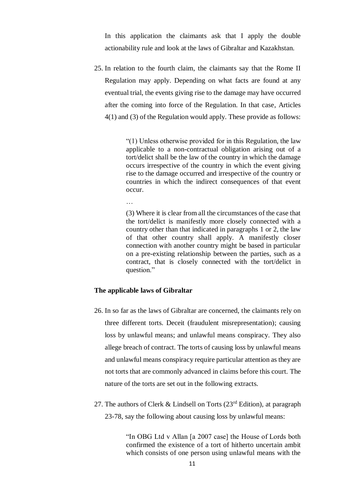In this application the claimants ask that I apply the double actionability rule and look at the laws of Gibraltar and Kazakhstan.

25. In relation to the fourth claim, the claimants say that the Rome II Regulation may apply. Depending on what facts are found at any eventual trial, the events giving rise to the damage may have occurred after the coming into force of the Regulation. In that case, Articles 4(1) and (3) of the Regulation would apply. These provide as follows:

> "(1) Unless otherwise provided for in this Regulation, the law applicable to a non-contractual obligation arising out of a tort/delict shall be the law of the country in which the damage occurs irrespective of the country in which the event giving rise to the damage occurred and irrespective of the country or countries in which the indirect consequences of that event occur.

…

(3) Where it is clear from all the circumstances of the case that the tort/delict is manifestly more closely connected with a country other than that indicated in paragraphs 1 or 2, the law of that other country shall apply. A manifestly closer connection with another country might be based in particular on a pre-existing relationship between the parties, such as a contract, that is closely connected with the tort/delict in question."

### **The applicable laws of Gibraltar**

- 26. In so far as the laws of Gibraltar are concerned, the claimants rely on three different torts. Deceit (fraudulent misrepresentation); causing loss by unlawful means; and unlawful means conspiracy. They also allege breach of contract. The torts of causing loss by unlawful means and unlawful means conspiracy require particular attention as they are not torts that are commonly advanced in claims before this court. The nature of the torts are set out in the following extracts.
- 27. The authors of Clerk & Lindsell on Torts  $(23^{rd}$  Edition), at paragraph 23-78, say the following about causing loss by unlawful means:

"In OBG Ltd v Allan [a 2007 case] the House of Lords both confirmed the existence of a tort of hitherto uncertain ambit which consists of one person using unlawful means with the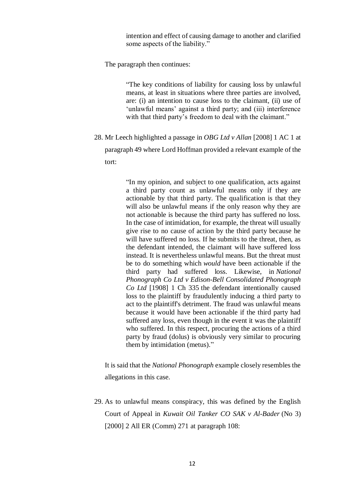intention and effect of causing damage to another and clarified some aspects of the liability."

The paragraph then continues:

"The key conditions of liability for causing loss by unlawful means, at least in situations where three parties are involved, are: (i) an intention to cause loss to the claimant, (ii) use of 'unlawful means' against a third party; and (iii) interference with that third party's freedom to deal with the claimant."

28. Mr Leech highlighted a passage in *OBG Ltd v Allan* [2008] 1 AC 1 at paragraph 49 where Lord Hoffman provided a relevant example of the tort:

> "In my opinion, and subject to one qualification, acts against a third party count as unlawful means only if they are actionable by that third party. The qualification is that they will also be unlawful means if the only reason why they are not actionable is because the third party has suffered no loss. In the case of intimidation, for example, the threat will usually give rise to no cause of action by the third party because he will have suffered no loss. If he submits to the threat, then, as the defendant intended, the claimant will have suffered loss instead. It is nevertheless unlawful means. But the threat must be to do something which *would* have been actionable if the third party had suffered loss. Likewise, in *National Phonograph Co Ltd v Edison-Bell Consolidated Phonograph Co Ltd* [1908] 1 Ch 335 the defendant intentionally caused loss to the plaintiff by fraudulently inducing a third party to act to the plaintiff's detriment. The fraud was unlawful means because it would have been actionable if the third party had suffered any loss, even though in the event it was the plaintiff who suffered. In this respect, procuring the actions of a third party by fraud (dolus) is obviously very similar to procuring them by intimidation (metus)."

It is said that the *National Phonograph* example closely resembles the allegations in this case.

29. As to unlawful means conspiracy, this was defined by the English Court of Appeal in *Kuwait Oil Tanker CO SAK v Al-Bader* (No 3) [2000] 2 All ER (Comm) 271 at paragraph 108: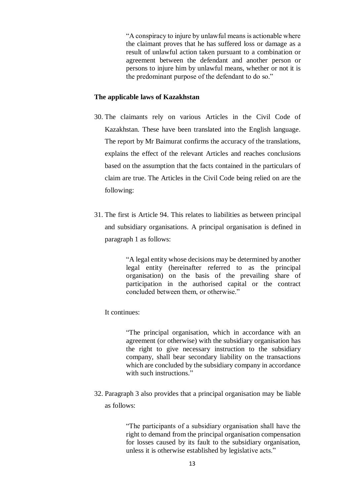"A conspiracy to injure by unlawful means is actionable where the claimant proves that he has suffered loss or damage as a result of unlawful action taken pursuant to a combination or agreement between the defendant and another person or persons to injure him by unlawful means, whether or not it is the predominant purpose of the defendant to do so."

### **The applicable laws of Kazakhstan**

- 30. The claimants rely on various Articles in the Civil Code of Kazakhstan. These have been translated into the English language. The report by Mr Baimurat confirms the accuracy of the translations, explains the effect of the relevant Articles and reaches conclusions based on the assumption that the facts contained in the particulars of claim are true. The Articles in the Civil Code being relied on are the following:
- 31. The first is Article 94. This relates to liabilities as between principal and subsidiary organisations. A principal organisation is defined in paragraph 1 as follows:

"A legal entity whose decisions may be determined by another legal entity (hereinafter referred to as the principal organisation) on the basis of the prevailing share of participation in the authorised capital or the contract concluded between them, or otherwise."

# It continues:

"The principal organisation, which in accordance with an agreement (or otherwise) with the subsidiary organisation has the right to give necessary instruction to the subsidiary company, shall bear secondary liability on the transactions which are concluded by the subsidiary company in accordance with such instructions."

32. Paragraph 3 also provides that a principal organisation may be liable as follows:

> "The participants of a subsidiary organisation shall have the right to demand from the principal organisation compensation for losses caused by its fault to the subsidiary organisation, unless it is otherwise established by legislative acts."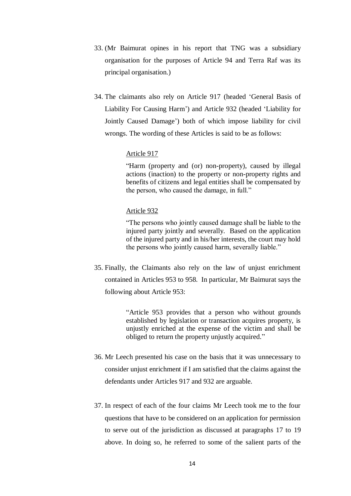- 33. (Mr Baimurat opines in his report that TNG was a subsidiary organisation for the purposes of Article 94 and Terra Raf was its principal organisation.)
- 34. The claimants also rely on Article 917 (headed 'General Basis of Liability For Causing Harm') and Article 932 (headed 'Liability for Jointly Caused Damage') both of which impose liability for civil wrongs. The wording of these Articles is said to be as follows:

### Article 917

"Harm (property and (or) non-property), caused by illegal actions (inaction) to the property or non-property rights and benefits of citizens and legal entities shall be compensated by the person, who caused the damage, in full."

### Article 932

"The persons who jointly caused damage shall be liable to the injured party jointly and severally. Based on the application of the injured party and in his/her interests, the court may hold the persons who jointly caused harm, severally liable."

35. Finally, the Claimants also rely on the law of unjust enrichment contained in Articles 953 to 958. In particular, Mr Baimurat says the following about Article 953:

> "Article 953 provides that a person who without grounds established by legislation or transaction acquires property, is unjustly enriched at the expense of the victim and shall be obliged to return the property unjustly acquired."

- 36. Mr Leech presented his case on the basis that it was unnecessary to consider unjust enrichment if I am satisfied that the claims against the defendants under Articles 917 and 932 are arguable.
- 37. In respect of each of the four claims Mr Leech took me to the four questions that have to be considered on an application for permission to serve out of the jurisdiction as discussed at paragraphs 17 to 19 above. In doing so, he referred to some of the salient parts of the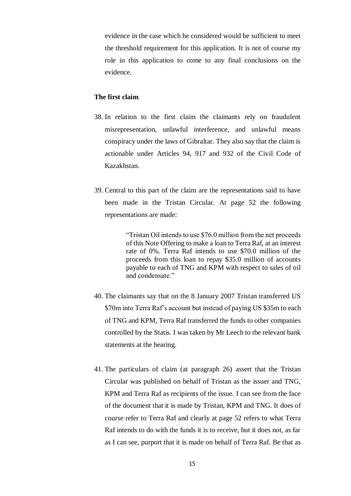evidence in the case which he considered would be sufficient to meet the threshold requirement for this application. It is not of course my role in this application to come to any final conclusions on the evidence.

### **The first claim**

- 38. In relation to the first claim the claimants rely on fraudulent misrepresentation, unlawful interference, and unlawful means conspiracy under the laws of Gibraltar. They also say that the claim is actionable under Articles 94, 917 and 932 of the Civil Code of Kazakhstan.
- 39. Central to this part of the claim are the representations said to have been made in the Tristan Circular. At page 52 the following representations are made:

"Tristan Oil intends to use \$76.0 million from the net proceeds of this Note Offering to make a loan to Terra Raf, at an interest rate of 0%. Terra Raf intends to use \$70.0 million of the proceeds from this loan to repay \$35.0 million of accounts payable to each of TNG and KPM with respect to sales of oil and condensate"

- 40. The claimants say that on the 8 January 2007 Tristan transferred US \$70m into Terra Raf's account but instead of paying US \$35m to each of TNG and KPM, Terra Raf transferred the funds to other companies controlled by the Statis. I was taken by Mr Leech to the relevant bank statements at the hearing.
- 41. The particulars of claim (at paragraph 26) assert that the Tristan Circular was published on behalf of Tristan as the issuer and TNG, KPM and Terra Raf as recipients of the issue. I can see from the face of the document that it is made by Tristan, KPM and TNG. It does of course refer to Terra Raf and clearly at page 52 refers to what Terra Raf intends to do with the funds it is to receive, but it does not, as far as I can see, purport that it is made on behalf of Terra Raf. Be that as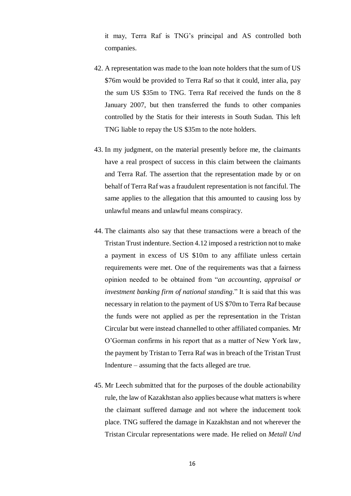it may, Terra Raf is TNG's principal and AS controlled both companies.

- 42. A representation was made to the loan note holders that the sum of US \$76m would be provided to Terra Raf so that it could, inter alia, pay the sum US \$35m to TNG. Terra Raf received the funds on the 8 January 2007, but then transferred the funds to other companies controlled by the Statis for their interests in South Sudan. This left TNG liable to repay the US \$35m to the note holders.
- 43. In my judgment, on the material presently before me, the claimants have a real prospect of success in this claim between the claimants and Terra Raf. The assertion that the representation made by or on behalf of Terra Raf was a fraudulent representation is not fanciful. The same applies to the allegation that this amounted to causing loss by unlawful means and unlawful means conspiracy.
- 44. The claimants also say that these transactions were a breach of the Tristan Trust indenture. Section 4.12 imposed a restriction not to make a payment in excess of US \$10m to any affiliate unless certain requirements were met. One of the requirements was that a fairness opinion needed to be obtained from "*an accounting, appraisal or investment banking firm of national standing*." It is said that this was necessary in relation to the payment of US \$70m to Terra Raf because the funds were not applied as per the representation in the Tristan Circular but were instead channelled to other affiliated companies. Mr O'Gorman confirms in his report that as a matter of New York law, the payment by Tristan to Terra Raf was in breach of the Tristan Trust Indenture – assuming that the facts alleged are true.
- 45. Mr Leech submitted that for the purposes of the double actionability rule, the law of Kazakhstan also applies because what matters is where the claimant suffered damage and not where the inducement took place. TNG suffered the damage in Kazakhstan and not wherever the Tristan Circular representations were made. He relied on *Metall Und*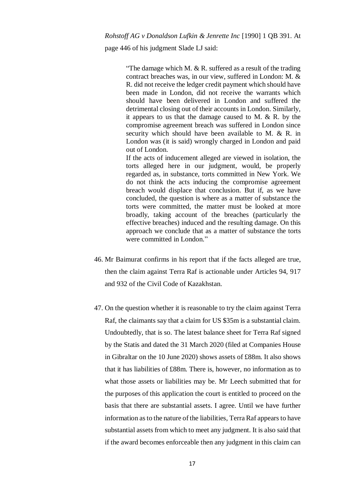page 446 of his judgment Slade LJ said:

"The damage which M.  $& R$ . suffered as a result of the trading contract breaches was, in our view, suffered in London: M. & R. did not receive the ledger credit payment which should have been made in London, did not receive the warrants which should have been delivered in London and suffered the detrimental closing out of their accounts in London. Similarly, it appears to us that the damage caused to M.  $& R.$  by the compromise agreement breach was suffered in London since security which should have been available to M. & R. in London was (it is said) wrongly charged in London and paid out of London.

If the acts of inducement alleged are viewed in isolation, the torts alleged here in our judgment, would, be properly regarded as, in substance, torts committed in New York. We do not think the acts inducing the compromise agreement breach would displace that conclusion. But if, as we have concluded, the question is where as a matter of substance the torts were committed, the matter must be looked at more broadly, taking account of the breaches (particularly the effective breaches) induced and the resulting damage. On this approach we conclude that as a matter of substance the torts were committed in London."

- 46. Mr Baimurat confirms in his report that if the facts alleged are true, then the claim against Terra Raf is actionable under Articles 94, 917 and 932 of the Civil Code of Kazakhstan.
- 47. On the question whether it is reasonable to try the claim against Terra Raf, the claimants say that a claim for US \$35m is a substantial claim. Undoubtedly, that is so. The latest balance sheet for Terra Raf signed by the Statis and dated the 31 March 2020 (filed at Companies House in Gibraltar on the 10 June 2020) shows assets of £88m. It also shows that it has liabilities of £88m. There is, however, no information as to what those assets or liabilities may be. Mr Leech submitted that for the purposes of this application the court is entitled to proceed on the basis that there are substantial assets. I agree. Until we have further information as to the nature of the liabilities, Terra Raf appears to have substantial assets from which to meet any judgment. It is also said that if the award becomes enforceable then any judgment in this claim can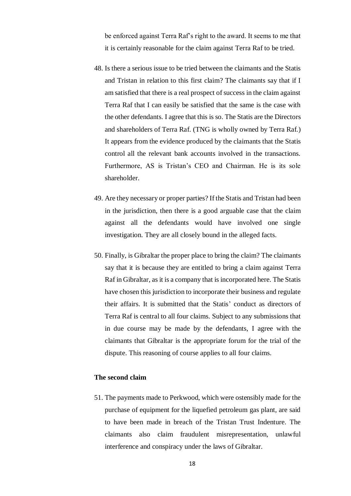be enforced against Terra Raf's right to the award. It seems to me that it is certainly reasonable for the claim against Terra Raf to be tried.

- 48. Is there a serious issue to be tried between the claimants and the Statis and Tristan in relation to this first claim? The claimants say that if I am satisfied that there is a real prospect of success in the claim against Terra Raf that I can easily be satisfied that the same is the case with the other defendants. I agree that this is so. The Statis are the Directors and shareholders of Terra Raf. (TNG is wholly owned by Terra Raf.) It appears from the evidence produced by the claimants that the Statis control all the relevant bank accounts involved in the transactions. Furthermore, AS is Tristan's CEO and Chairman. He is its sole shareholder.
- 49. Are they necessary or proper parties? If the Statis and Tristan had been in the jurisdiction, then there is a good arguable case that the claim against all the defendants would have involved one single investigation. They are all closely bound in the alleged facts.
- 50. Finally, is Gibraltar the proper place to bring the claim? The claimants say that it is because they are entitled to bring a claim against Terra Raf in Gibraltar, as it is a company that is incorporated here. The Statis have chosen this jurisdiction to incorporate their business and regulate their affairs. It is submitted that the Statis' conduct as directors of Terra Raf is central to all four claims. Subject to any submissions that in due course may be made by the defendants, I agree with the claimants that Gibraltar is the appropriate forum for the trial of the dispute. This reasoning of course applies to all four claims.

# **The second claim**

51. The payments made to Perkwood, which were ostensibly made for the purchase of equipment for the liquefied petroleum gas plant, are said to have been made in breach of the Tristan Trust Indenture. The claimants also claim fraudulent misrepresentation, unlawful interference and conspiracy under the laws of Gibraltar.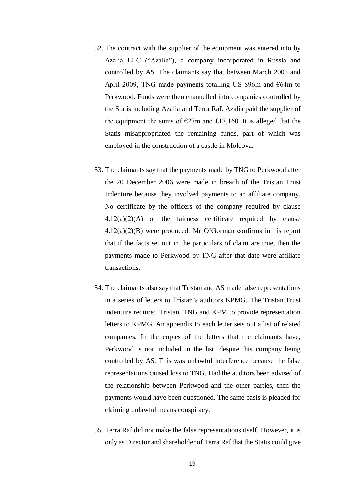- 52. The contract with the supplier of the equipment was entered into by Azalia LLC ("Azalia"), a company incorporated in Russia and controlled by AS. The claimants say that between March 2006 and April 2009, TNG made payments totalling US \$96m and  $664m$  to Perkwood. Funds were then channelled into companies controlled by the Statis including Azalia and Terra Raf. Azalia paid the supplier of the equipment the sums of  $\epsilon$ 27m and £17,160. It is alleged that the Statis misappropriated the remaining funds, part of which was employed in the construction of a castle in Moldova.
- 53. The claimants say that the payments made by TNG to Perkwood after the 20 December 2006 were made in breach of the Tristan Trust Indenture because they involved payments to an affiliate company. No certificate by the officers of the company required by clause  $4.12(a)(2)(A)$  or the fairness certificate required by clause 4.12(a)(2)(B) were produced. Mr O'Gorman confirms in his report that if the facts set out in the particulars of claim are true, then the payments made to Perkwood by TNG after that date were affiliate transactions.
- 54. The claimants also say that Tristan and AS made false representations in a series of letters to Tristan's auditors KPMG. The Tristan Trust indenture required Tristan, TNG and KPM to provide representation letters to KPMG. An appendix to each letter sets out a list of related companies. In the copies of the letters that the claimants have, Perkwood is not included in the list, despite this company being controlled by AS. This was unlawful interference because the false representations caused loss to TNG. Had the auditors been advised of the relationship between Perkwood and the other parties, then the payments would have been questioned. The same basis is pleaded for claiming unlawful means conspiracy.
- 55. Terra Raf did not make the false representations itself. However, it is only as Director and shareholder of Terra Raf that the Statis could give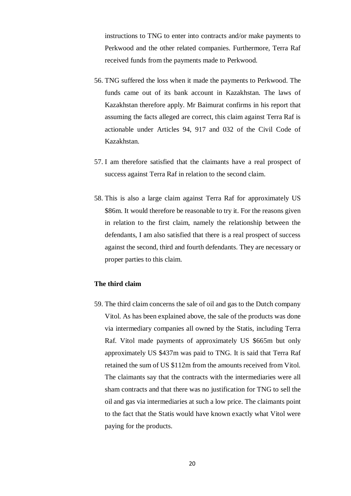instructions to TNG to enter into contracts and/or make payments to Perkwood and the other related companies. Furthermore, Terra Raf received funds from the payments made to Perkwood.

- 56. TNG suffered the loss when it made the payments to Perkwood. The funds came out of its bank account in Kazakhstan. The laws of Kazakhstan therefore apply. Mr Baimurat confirms in his report that assuming the facts alleged are correct, this claim against Terra Raf is actionable under Articles 94, 917 and 032 of the Civil Code of Kazakhstan.
- 57. I am therefore satisfied that the claimants have a real prospect of success against Terra Raf in relation to the second claim.
- 58. This is also a large claim against Terra Raf for approximately US \$86m. It would therefore be reasonable to try it. For the reasons given in relation to the first claim, namely the relationship between the defendants, I am also satisfied that there is a real prospect of success against the second, third and fourth defendants. They are necessary or proper parties to this claim.

## **The third claim**

59. The third claim concerns the sale of oil and gas to the Dutch company Vitol. As has been explained above, the sale of the products was done via intermediary companies all owned by the Statis, including Terra Raf. Vitol made payments of approximately US \$665m but only approximately US \$437m was paid to TNG. It is said that Terra Raf retained the sum of US \$112m from the amounts received from Vitol. The claimants say that the contracts with the intermediaries were all sham contracts and that there was no justification for TNG to sell the oil and gas via intermediaries at such a low price. The claimants point to the fact that the Statis would have known exactly what Vitol were paying for the products.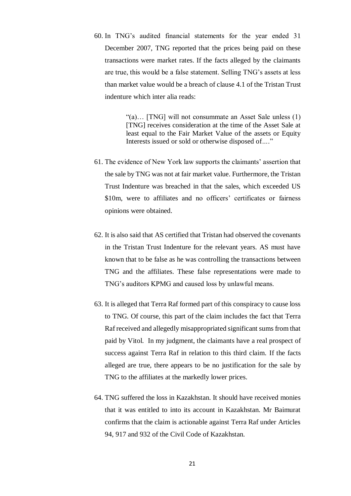60. In TNG's audited financial statements for the year ended 31 December 2007, TNG reported that the prices being paid on these transactions were market rates. If the facts alleged by the claimants are true, this would be a false statement. Selling TNG's assets at less than market value would be a breach of clause 4.1 of the Tristan Trust indenture which inter alia reads:

> "(a)… [TNG] will not consummate an Asset Sale unless (1) [TNG] receives consideration at the time of the Asset Sale at least equal to the Fair Market Value of the assets or Equity Interests issued or sold or otherwise disposed of*…*."

- 61. The evidence of New York law supports the claimants' assertion that the sale by TNG was not at fair market value. Furthermore, the Tristan Trust Indenture was breached in that the sales, which exceeded US \$10m, were to affiliates and no officers' certificates or fairness opinions were obtained.
- 62. It is also said that AS certified that Tristan had observed the covenants in the Tristan Trust Indenture for the relevant years. AS must have known that to be false as he was controlling the transactions between TNG and the affiliates. These false representations were made to TNG's auditors KPMG and caused loss by unlawful means.
- 63. It is alleged that Terra Raf formed part of this conspiracy to cause loss to TNG. Of course, this part of the claim includes the fact that Terra Raf received and allegedly misappropriated significant sums from that paid by Vitol. In my judgment, the claimants have a real prospect of success against Terra Raf in relation to this third claim. If the facts alleged are true, there appears to be no justification for the sale by TNG to the affiliates at the markedly lower prices.
- 64. TNG suffered the loss in Kazakhstan. It should have received monies that it was entitled to into its account in Kazakhstan. Mr Baimurat confirms that the claim is actionable against Terra Raf under Articles 94, 917 and 932 of the Civil Code of Kazakhstan.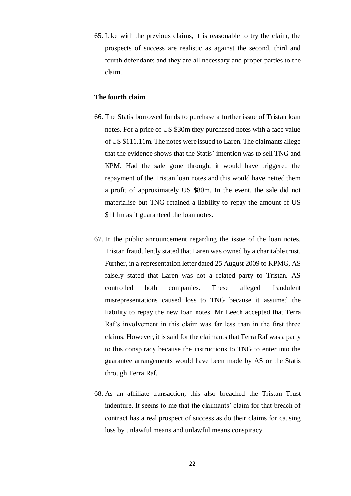65. Like with the previous claims, it is reasonable to try the claim, the prospects of success are realistic as against the second, third and fourth defendants and they are all necessary and proper parties to the claim.

### **The fourth claim**

- 66. The Statis borrowed funds to purchase a further issue of Tristan loan notes. For a price of US \$30m they purchased notes with a face value of US \$111.11m. The notes were issued to Laren. The claimants allege that the evidence shows that the Statis' intention was to sell TNG and KPM. Had the sale gone through, it would have triggered the repayment of the Tristan loan notes and this would have netted them a profit of approximately US \$80m. In the event, the sale did not materialise but TNG retained a liability to repay the amount of US \$111m as it guaranteed the loan notes.
- 67. In the public announcement regarding the issue of the loan notes, Tristan fraudulently stated that Laren was owned by a charitable trust. Further, in a representation letter dated 25 August 2009 to KPMG, AS falsely stated that Laren was not a related party to Tristan. AS controlled both companies. These alleged fraudulent misrepresentations caused loss to TNG because it assumed the liability to repay the new loan notes. Mr Leech accepted that Terra Raf's involvement in this claim was far less than in the first three claims. However, it is said for the claimants that Terra Raf was a party to this conspiracy because the instructions to TNG to enter into the guarantee arrangements would have been made by AS or the Statis through Terra Raf.
- 68. As an affiliate transaction, this also breached the Tristan Trust indenture. It seems to me that the claimants' claim for that breach of contract has a real prospect of success as do their claims for causing loss by unlawful means and unlawful means conspiracy.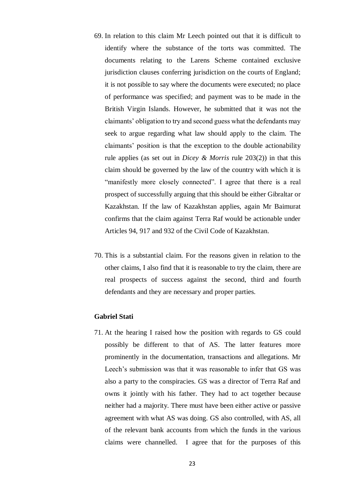- 69. In relation to this claim Mr Leech pointed out that it is difficult to identify where the substance of the torts was committed. The documents relating to the Larens Scheme contained exclusive jurisdiction clauses conferring jurisdiction on the courts of England; it is not possible to say where the documents were executed; no place of performance was specified; and payment was to be made in the British Virgin Islands. However, he submitted that it was not the claimants' obligation to try and second guess what the defendants may seek to argue regarding what law should apply to the claim. The claimants' position is that the exception to the double actionability rule applies (as set out in *Dicey & Morris* rule 203(2)) in that this claim should be governed by the law of the country with which it is "manifestly more closely connected". I agree that there is a real prospect of successfully arguing that this should be either Gibraltar or Kazakhstan. If the law of Kazakhstan applies, again Mr Baimurat confirms that the claim against Terra Raf would be actionable under Articles 94, 917 and 932 of the Civil Code of Kazakhstan.
- 70. This is a substantial claim. For the reasons given in relation to the other claims, I also find that it is reasonable to try the claim, there are real prospects of success against the second, third and fourth defendants and they are necessary and proper parties.

### **Gabriel Stati**

71. At the hearing I raised how the position with regards to GS could possibly be different to that of AS. The latter features more prominently in the documentation, transactions and allegations. Mr Leech's submission was that it was reasonable to infer that GS was also a party to the conspiracies. GS was a director of Terra Raf and owns it jointly with his father. They had to act together because neither had a majority. There must have been either active or passive agreement with what AS was doing. GS also controlled, with AS, all of the relevant bank accounts from which the funds in the various claims were channelled. I agree that for the purposes of this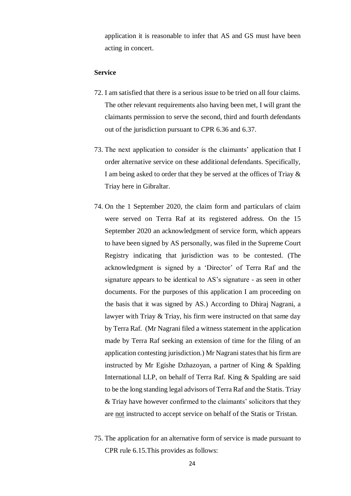application it is reasonable to infer that AS and GS must have been acting in concert.

#### **Service**

- 72. I am satisfied that there is a serious issue to be tried on all four claims. The other relevant requirements also having been met, I will grant the claimants permission to serve the second, third and fourth defendants out of the jurisdiction pursuant to CPR 6.36 and 6.37.
- 73. The next application to consider is the claimants' application that I order alternative service on these additional defendants. Specifically, I am being asked to order that they be served at the offices of Triay & Triay here in Gibraltar.
- 74. On the 1 September 2020, the claim form and particulars of claim were served on Terra Raf at its registered address. On the 15 September 2020 an acknowledgment of service form, which appears to have been signed by AS personally, was filed in the Supreme Court Registry indicating that jurisdiction was to be contested. (The acknowledgment is signed by a 'Director' of Terra Raf and the signature appears to be identical to AS's signature - as seen in other documents. For the purposes of this application I am proceeding on the basis that it was signed by AS.) According to Dhiraj Nagrani, a lawyer with Triay & Triay, his firm were instructed on that same day by Terra Raf. (Mr Nagrani filed a witness statement in the application made by Terra Raf seeking an extension of time for the filing of an application contesting jurisdiction.) Mr Nagrani states that his firm are instructed by Mr Egishe Dzhazoyan, a partner of King & Spalding International LLP, on behalf of Terra Raf. King & Spalding are said to be the long standing legal advisors of Terra Raf and the Statis. Triay & Triay have however confirmed to the claimants' solicitors that they are not instructed to accept service on behalf of the Statis or Tristan.
- 75. The application for an alternative form of service is made pursuant to CPR rule 6.15.This provides as follows: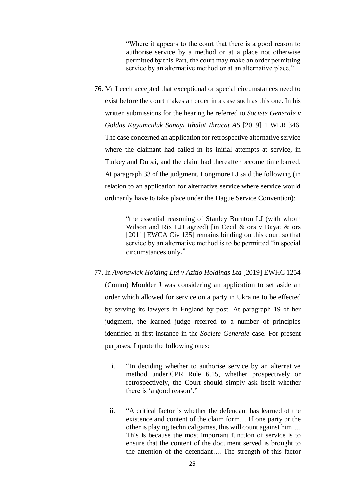"Where it appears to the court that there is a good reason to authorise service by a method or at a place not otherwise permitted by this Part, the court may make an order permitting service by an alternative method or at an alternative place."

76. Mr Leech accepted that exceptional or special circumstances need to exist before the court makes an order in a case such as this one. In his written submissions for the hearing he referred to *Societe Generale v Goldas Kuyumculuk Sanayi Ithalat Ihracat AS* [2019] 1 WLR 346. The case concerned an application for retrospective alternative service where the claimant had failed in its initial attempts at service, in Turkey and Dubai, and the claim had thereafter become time barred. At paragraph 33 of the judgment, Longmore LJ said the following (in relation to an application for alternative service where service would ordinarily have to take place under the Hague Service Convention):

> "the essential reasoning of Stanley Burnton LJ (with whom Wilson and Rix LJJ agreed) [in Cecil  $\&$  ors v Bayat  $\&$  ors [2011] EWCA Civ 135] remains binding on this court so that service by an alternative method is to be permitted "in special circumstances only."

- 77. In *Avonswick Holding Ltd v Azitio Holdings Ltd* [2019] EWHC 1254 (Comm) Moulder J was considering an application to set aside an order which allowed for service on a party in Ukraine to be effected by serving its lawyers in England by post. At paragraph 19 of her judgment, the learned judge referred to a number of principles identified at first instance in the *Societe Generale* case. For present purposes, I quote the following ones:
	- i. "In deciding whether to authorise service by an alternative method under CPR Rule 6.15, whether prospectively or retrospectively, the Court should simply ask itself whether there is 'a good reason'."
	- ii. "A critical factor is whether the defendant has learned of the existence and content of the claim form… If one party or the other is playing technical games, this will count against him…. This is because the most important function of service is to ensure that the content of the document served is brought to the attention of the defendant…. The strength of this factor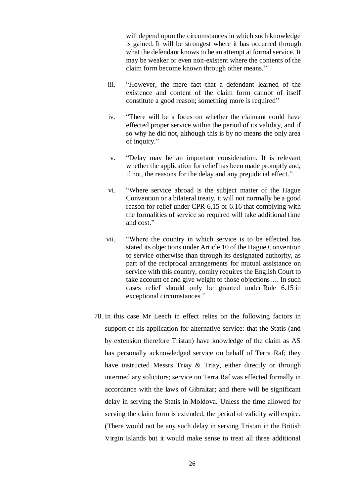will depend upon the circumstances in which such knowledge is gained. It will be strongest where it has occurred through what the defendant knows to be an attempt at formal service. It may be weaker or even non-existent where the contents of the claim form become known through other means."

- iii. "However, the mere fact that a defendant learned of the existence and content of the claim form cannot of itself constitute a good reason; something more is required"
- iv. "There will be a focus on whether the claimant could have effected proper service within the period of its validity, and if so why he did not, although this is by no means the only area of inquiry."
- v. "Delay may be an important consideration. It is relevant whether the application for relief has been made promptly and, if not, the reasons for the delay and any prejudicial effect."
- vi. "Where service abroad is the subject matter of the Hague Convention or a bilateral treaty, it will not normally be a good reason for relief under CPR 6.15 or 6.16 that complying with the formalities of service so required will take additional time and cost."
- vii. "Where the country in which service is to be effected has stated its objections under Article 10 of the Hague Convention to service otherwise than through its designated authority, as part of the reciprocal arrangements for mutual assistance on service with this country, comity requires the English Court to take account of and give weight to those objections…. In such cases relief should only be granted under [Rule](https://uk.westlaw.com/Document/I0D6E73F0E45011DA8D70A0E70A78ED65/View/FullText.html?originationContext=document&transitionType=DocumentItem&contextData=(sc.DocLink)) 6.15 in exceptional circumstances."
- 78. In this case Mr Leech in effect relies on the following factors in support of his application for alternative service: that the Statis (and by extension therefore Tristan) have knowledge of the claim as AS has personally acknowledged service on behalf of Terra Raf; they have instructed Messrs Triay & Triay, either directly or through intermediary solicitors; service on Terra Raf was effected formally in accordance with the laws of Gibraltar; and there will be significant delay in serving the Statis in Moldova. Unless the time allowed for serving the claim form is extended, the period of validity will expire. (There would not be any such delay in serving Tristan in the British Virgin Islands but it would make sense to treat all three additional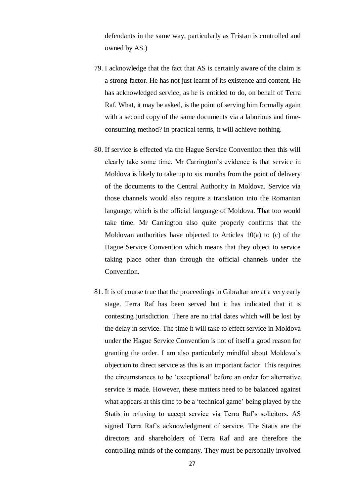defendants in the same way, particularly as Tristan is controlled and owned by AS.)

- 79. I acknowledge that the fact that AS is certainly aware of the claim is a strong factor. He has not just learnt of its existence and content. He has acknowledged service, as he is entitled to do, on behalf of Terra Raf. What, it may be asked, is the point of serving him formally again with a second copy of the same documents via a laborious and timeconsuming method? In practical terms, it will achieve nothing.
- 80. If service is effected via the Hague Service Convention then this will clearly take some time. Mr Carrington's evidence is that service in Moldova is likely to take up to six months from the point of delivery of the documents to the Central Authority in Moldova. Service via those channels would also require a translation into the Romanian language, which is the official language of Moldova. That too would take time. Mr Carrington also quite properly confirms that the Moldovan authorities have objected to Articles 10(a) to (c) of the Hague Service Convention which means that they object to service taking place other than through the official channels under the Convention.
- 81. It is of course true that the proceedings in Gibraltar are at a very early stage. Terra Raf has been served but it has indicated that it is contesting jurisdiction. There are no trial dates which will be lost by the delay in service. The time it will take to effect service in Moldova under the Hague Service Convention is not of itself a good reason for granting the order. I am also particularly mindful about Moldova's objection to direct service as this is an important factor. This requires the circumstances to be 'exceptional' before an order for alternative service is made. However, these matters need to be balanced against what appears at this time to be a 'technical game' being played by the Statis in refusing to accept service via Terra Raf's solicitors. AS signed Terra Raf's acknowledgment of service. The Statis are the directors and shareholders of Terra Raf and are therefore the controlling minds of the company. They must be personally involved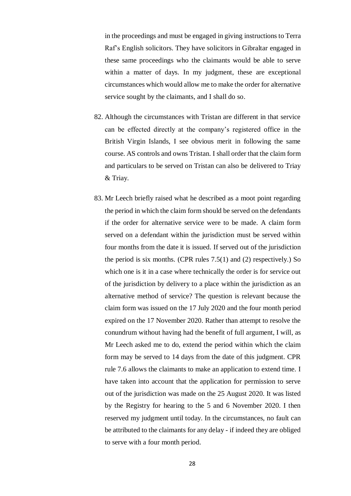in the proceedings and must be engaged in giving instructions to Terra Raf's English solicitors. They have solicitors in Gibraltar engaged in these same proceedings who the claimants would be able to serve within a matter of days. In my judgment, these are exceptional circumstances which would allow me to make the order for alternative service sought by the claimants, and I shall do so.

- 82. Although the circumstances with Tristan are different in that service can be effected directly at the company's registered office in the British Virgin Islands, I see obvious merit in following the same course. AS controls and owns Tristan. I shall order that the claim form and particulars to be served on Tristan can also be delivered to Triay & Triay.
- 83. Mr Leech briefly raised what he described as a moot point regarding the period in which the claim form should be served on the defendants if the order for alternative service were to be made. A claim form served on a defendant within the jurisdiction must be served within four months from the date it is issued. If served out of the jurisdiction the period is six months. (CPR rules 7.5(1) and (2) respectively.) So which one is it in a case where technically the order is for service out of the jurisdiction by delivery to a place within the jurisdiction as an alternative method of service? The question is relevant because the claim form was issued on the 17 July 2020 and the four month period expired on the 17 November 2020. Rather than attempt to resolve the conundrum without having had the benefit of full argument, I will, as Mr Leech asked me to do, extend the period within which the claim form may be served to 14 days from the date of this judgment. CPR rule 7.6 allows the claimants to make an application to extend time. I have taken into account that the application for permission to serve out of the jurisdiction was made on the 25 August 2020. It was listed by the Registry for hearing to the 5 and 6 November 2020. I then reserved my judgment until today. In the circumstances, no fault can be attributed to the claimants for any delay - if indeed they are obliged to serve with a four month period.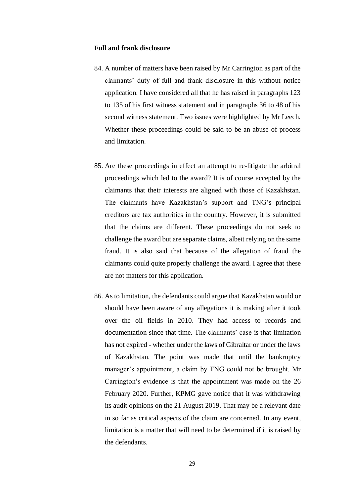#### **Full and frank disclosure**

- 84. A number of matters have been raised by Mr Carrington as part of the claimants' duty of full and frank disclosure in this without notice application. I have considered all that he has raised in paragraphs 123 to 135 of his first witness statement and in paragraphs 36 to 48 of his second witness statement. Two issues were highlighted by Mr Leech. Whether these proceedings could be said to be an abuse of process and limitation.
- 85. Are these proceedings in effect an attempt to re-litigate the arbitral proceedings which led to the award? It is of course accepted by the claimants that their interests are aligned with those of Kazakhstan. The claimants have Kazakhstan's support and TNG's principal creditors are tax authorities in the country. However, it is submitted that the claims are different. These proceedings do not seek to challenge the award but are separate claims, albeit relying on the same fraud. It is also said that because of the allegation of fraud the claimants could quite properly challenge the award. I agree that these are not matters for this application.
- 86. As to limitation, the defendants could argue that Kazakhstan would or should have been aware of any allegations it is making after it took over the oil fields in 2010. They had access to records and documentation since that time. The claimants' case is that limitation has not expired - whether under the laws of Gibraltar or under the laws of Kazakhstan. The point was made that until the bankruptcy manager's appointment, a claim by TNG could not be brought. Mr Carrington's evidence is that the appointment was made on the 26 February 2020. Further, KPMG gave notice that it was withdrawing its audit opinions on the 21 August 2019. That may be a relevant date in so far as critical aspects of the claim are concerned. In any event, limitation is a matter that will need to be determined if it is raised by the defendants.